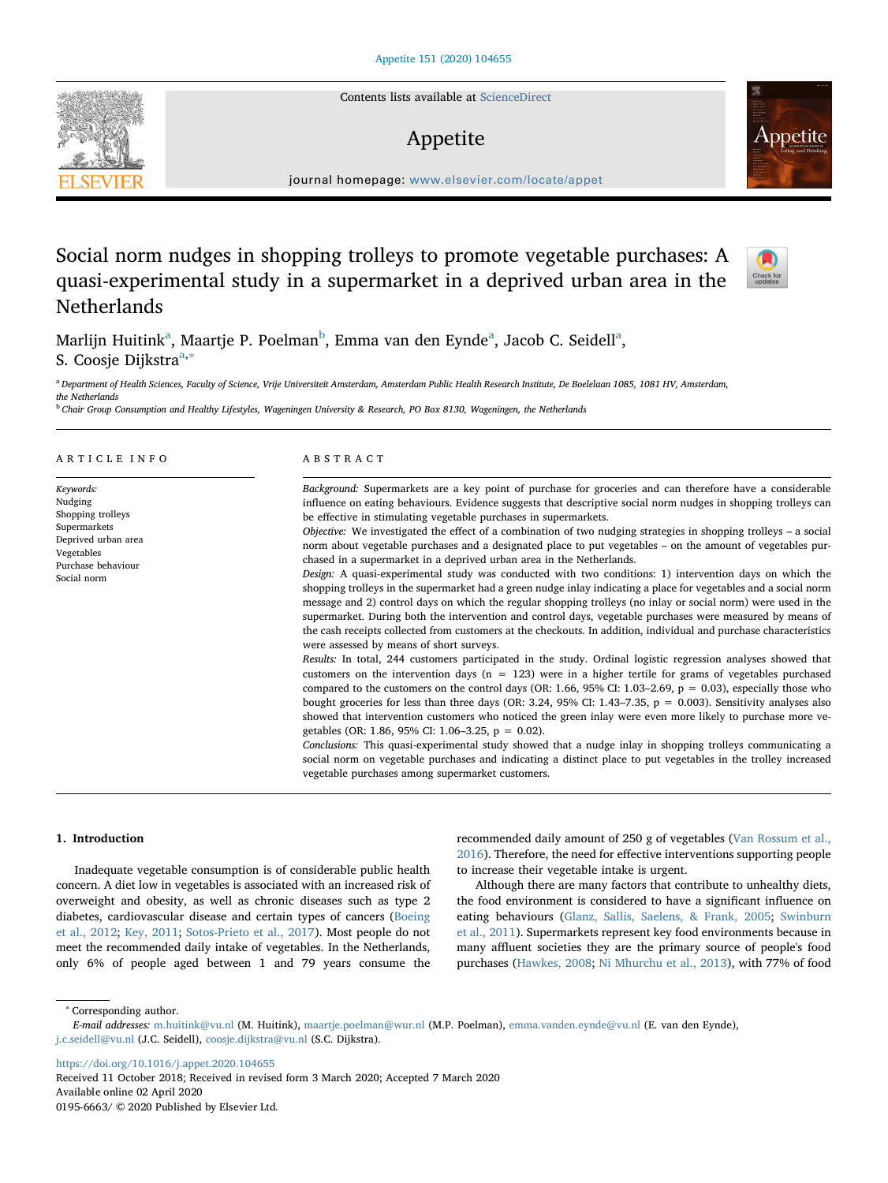Contents lists available at [ScienceDirect](http://www.sciencedirect.com/science/journal/01956663)

# Appetite



journal homepage: [www.elsevier.com/locate/appet](https://www.elsevier.com/locate/appet)

# Social norm nudges in shopping trolleys to promote vegetable purchases: A quasi-experimental study in a supermarket in a deprived urban area in the Netherlands



M[a](#page-0-0)rlijn Huitink<sup>a</sup>, Maartje P. Poelman<sup>[b](#page-0-1)</sup>, Emma van den Eynde<sup>a</sup>, Jacob C. Seidell<sup>a</sup>, S. Coosje Dijkstr[a](#page-0-0)<sup>a,[∗](#page-0-2)</sup>

<span id="page-0-0"></span><sup>a</sup> Department of Health Sciences, Faculty of Science, Vrije Universiteit Amsterdam, Amsterdam Public Health Research Institute, De Boelelaan 1085, 1081 HV, Amsterdam, the Netherlands

<span id="page-0-1"></span><sup>b</sup> Chair Group Consumption and Healthy Lifestyles, Wageningen University & Research, PO Box 8130, Wageningen, the Netherlands

### ARTICLE INFO

Keywords: Nudging Shopping trolleys Supermarkets Deprived urban area Vegetables Purchase behaviour Social norm

# ABSTRACT

Background: Supermarkets are a key point of purchase for groceries and can therefore have a considerable influence on eating behaviours. Evidence suggests that descriptive social norm nudges in shopping trolleys can be effective in stimulating vegetable purchases in supermarkets.

Objective: We investigated the effect of a combination of two nudging strategies in shopping trolleys – a social norm about vegetable purchases and a designated place to put vegetables – on the amount of vegetables purchased in a supermarket in a deprived urban area in the Netherlands.

Design: A quasi-experimental study was conducted with two conditions: 1) intervention days on which the shopping trolleys in the supermarket had a green nudge inlay indicating a place for vegetables and a social norm message and 2) control days on which the regular shopping trolleys (no inlay or social norm) were used in the supermarket. During both the intervention and control days, vegetable purchases were measured by means of the cash receipts collected from customers at the checkouts. In addition, individual and purchase characteristics were assessed by means of short surveys.

Results: In total, 244 customers participated in the study. Ordinal logistic regression analyses showed that customers on the intervention days ( $n = 123$ ) were in a higher tertile for grams of vegetables purchased compared to the customers on the control days (OR:  $1.66$ ,  $95\%$  CI:  $1.03-2.69$ ,  $p = 0.03$ ), especially those who bought groceries for less than three days (OR: 3.24, 95% CI: 1.43–7.35, p = 0.003). Sensitivity analyses also showed that intervention customers who noticed the green inlay were even more likely to purchase more vegetables (OR: 1.86, 95% CI: 1.06–3.25, p = 0.02).

Conclusions: This quasi-experimental study showed that a nudge inlay in shopping trolleys communicating a social norm on vegetable purchases and indicating a distinct place to put vegetables in the trolley increased vegetable purchases among supermarket customers.

# 1. Introduction

Inadequate vegetable consumption is of considerable public health concern. A diet low in vegetables is associated with an increased risk of overweight and obesity, as well as chronic diseases such as type 2 diabetes, cardiovascular disease and certain types of cancers [\(Boeing](#page-6-0) [et al., 2012;](#page-6-0) [Key, 2011;](#page-6-1) [Sotos-Prieto et al., 2017](#page-6-2)). Most people do not meet the recommended daily intake of vegetables. In the Netherlands, only 6% of people aged between 1 and 79 years consume the recommended daily amount of 250 g of vegetables ([Van Rossum et al.,](#page-6-3) [2016\)](#page-6-3). Therefore, the need for effective interventions supporting people to increase their vegetable intake is urgent.

Although there are many factors that contribute to unhealthy diets, the food environment is considered to have a significant influence on eating behaviours ([Glanz, Sallis, Saelens, & Frank, 2005](#page-6-4); [Swinburn](#page-6-5) [et al., 2011](#page-6-5)). Supermarkets represent key food environments because in many affluent societies they are the primary source of people's food purchases ([Hawkes, 2008](#page-6-6); [Ni Mhurchu et al., 2013\)](#page-6-7), with 77% of food

<span id="page-0-2"></span><sup>∗</sup> Corresponding author.

<https://doi.org/10.1016/j.appet.2020.104655>

Received 11 October 2018; Received in revised form 3 March 2020; Accepted 7 March 2020 Available online 02 April 2020 0195-6663/ © 2020 Published by Elsevier Ltd.

E-mail addresses: [m.huitink@vu.nl](mailto:m.huitink@vu.nl) (M. Huitink), [maartje.poelman@wur.nl](mailto:maartje.poelman@wur.nl) (M.P. Poelman), [emma.vanden.eynde@vu.nl](mailto:emma.vanden.eynde@vu.nl) (E. van den Eynde), [j.c.seidell@vu.nl](mailto:j.c.seidell@vu.nl) (J.C. Seidell), [coosje.dijkstra@vu.nl](mailto:coosje.dijkstra@vu.nl) (S.C. Dijkstra).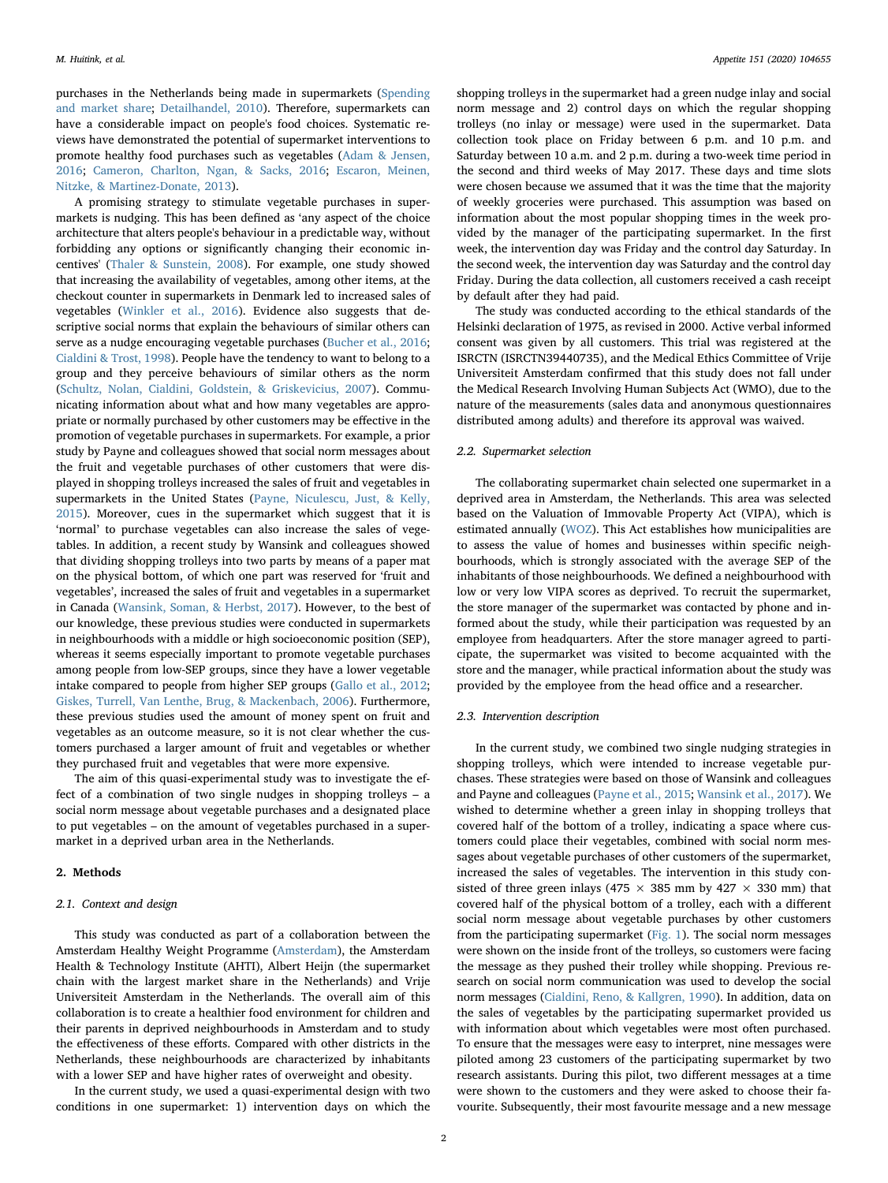purchases in the Netherlands being made in supermarkets [\(Spending](#page-6-8) [and market share;](#page-6-8) [Detailhandel, 2010](#page-6-9)). Therefore, supermarkets can have a considerable impact on people's food choices. Systematic reviews have demonstrated the potential of supermarket interventions to promote healthy food purchases such as vegetables ([Adam & Jensen,](#page-5-0) [2016;](#page-5-0) [Cameron, Charlton, Ngan, & Sacks, 2016;](#page-6-10) [Escaron, Meinen,](#page-6-11) [Nitzke, & Martinez-Donate, 2013](#page-6-11)).

A promising strategy to stimulate vegetable purchases in supermarkets is nudging. This has been defined as 'any aspect of the choice architecture that alters people's behaviour in a predictable way, without forbidding any options or significantly changing their economic incentives' [\(Thaler & Sunstein, 2008](#page-6-12)). For example, one study showed that increasing the availability of vegetables, among other items, at the checkout counter in supermarkets in Denmark led to increased sales of vegetables [\(Winkler et al., 2016\)](#page-6-13). Evidence also suggests that descriptive social norms that explain the behaviours of similar others can serve as a nudge encouraging vegetable purchases ([Bucher et al., 2016](#page-6-14); [Cialdini & Trost, 1998\)](#page-6-15). People have the tendency to want to belong to a group and they perceive behaviours of similar others as the norm ([Schultz, Nolan, Cialdini, Goldstein, & Griskevicius, 2007\)](#page-6-16). Communicating information about what and how many vegetables are appropriate or normally purchased by other customers may be effective in the promotion of vegetable purchases in supermarkets. For example, a prior study by Payne and colleagues showed that social norm messages about the fruit and vegetable purchases of other customers that were displayed in shopping trolleys increased the sales of fruit and vegetables in supermarkets in the United States [\(Payne, Niculescu, Just, & Kelly,](#page-6-17) [2015\)](#page-6-17). Moreover, cues in the supermarket which suggest that it is 'normal' to purchase vegetables can also increase the sales of vegetables. In addition, a recent study by Wansink and colleagues showed that dividing shopping trolleys into two parts by means of a paper mat on the physical bottom, of which one part was reserved for 'fruit and vegetables', increased the sales of fruit and vegetables in a supermarket in Canada ([Wansink, Soman, & Herbst, 2017](#page-6-18)). However, to the best of our knowledge, these previous studies were conducted in supermarkets in neighbourhoods with a middle or high socioeconomic position (SEP), whereas it seems especially important to promote vegetable purchases among people from low-SEP groups, since they have a lower vegetable intake compared to people from higher SEP groups ([Gallo et al., 2012](#page-6-19); [Giskes, Turrell, Van Lenthe, Brug, & Mackenbach, 2006](#page-6-20)). Furthermore, these previous studies used the amount of money spent on fruit and vegetables as an outcome measure, so it is not clear whether the customers purchased a larger amount of fruit and vegetables or whether they purchased fruit and vegetables that were more expensive.

The aim of this quasi-experimental study was to investigate the effect of a combination of two single nudges in shopping trolleys – a social norm message about vegetable purchases and a designated place to put vegetables – on the amount of vegetables purchased in a supermarket in a deprived urban area in the Netherlands.

# 2. Methods

#### 2.1. Context and design

This study was conducted as part of a collaboration between the Amsterdam Healthy Weight Programme ([Amsterdam](#page-6-21)), the Amsterdam Health & Technology Institute (AHTI), Albert Heijn (the supermarket chain with the largest market share in the Netherlands) and Vrije Universiteit Amsterdam in the Netherlands. The overall aim of this collaboration is to create a healthier food environment for children and their parents in deprived neighbourhoods in Amsterdam and to study the effectiveness of these efforts. Compared with other districts in the Netherlands, these neighbourhoods are characterized by inhabitants with a lower SEP and have higher rates of overweight and obesity.

In the current study, we used a quasi-experimental design with two conditions in one supermarket: 1) intervention days on which the

shopping trolleys in the supermarket had a green nudge inlay and social norm message and 2) control days on which the regular shopping trolleys (no inlay or message) were used in the supermarket. Data collection took place on Friday between 6 p.m. and 10 p.m. and Saturday between 10 a.m. and 2 p.m. during a two-week time period in the second and third weeks of May 2017. These days and time slots were chosen because we assumed that it was the time that the majority of weekly groceries were purchased. This assumption was based on information about the most popular shopping times in the week provided by the manager of the participating supermarket. In the first week, the intervention day was Friday and the control day Saturday. In the second week, the intervention day was Saturday and the control day Friday. During the data collection, all customers received a cash receipt by default after they had paid.

The study was conducted according to the ethical standards of the Helsinki declaration of 1975, as revised in 2000. Active verbal informed consent was given by all customers. This trial was registered at the ISRCTN (ISRCTN39440735), and the Medical Ethics Committee of Vrije Universiteit Amsterdam confirmed that this study does not fall under the Medical Research Involving Human Subjects Act (WMO), due to the nature of the measurements (sales data and anonymous questionnaires distributed among adults) and therefore its approval was waived.

### 2.2. Supermarket selection

The collaborating supermarket chain selected one supermarket in a deprived area in Amsterdam, the Netherlands. This area was selected based on the Valuation of Immovable Property Act (VIPA), which is estimated annually [\(WOZ](#page-6-22)). This Act establishes how municipalities are to assess the value of homes and businesses within specific neighbourhoods, which is strongly associated with the average SEP of the inhabitants of those neighbourhoods. We defined a neighbourhood with low or very low VIPA scores as deprived. To recruit the supermarket, the store manager of the supermarket was contacted by phone and informed about the study, while their participation was requested by an employee from headquarters. After the store manager agreed to participate, the supermarket was visited to become acquainted with the store and the manager, while practical information about the study was provided by the employee from the head office and a researcher.

#### 2.3. Intervention description

In the current study, we combined two single nudging strategies in shopping trolleys, which were intended to increase vegetable purchases. These strategies were based on those of Wansink and colleagues and Payne and colleagues [\(Payne et al., 2015;](#page-6-17) [Wansink et al., 2017](#page-6-18)). We wished to determine whether a green inlay in shopping trolleys that covered half of the bottom of a trolley, indicating a space where customers could place their vegetables, combined with social norm messages about vegetable purchases of other customers of the supermarket, increased the sales of vegetables. The intervention in this study consisted of three green inlays (475  $\times$  385 mm by 427  $\times$  330 mm) that covered half of the physical bottom of a trolley, each with a different social norm message about vegetable purchases by other customers from the participating supermarket [\(Fig. 1\)](#page-2-0). The social norm messages were shown on the inside front of the trolleys, so customers were facing the message as they pushed their trolley while shopping. Previous research on social norm communication was used to develop the social norm messages [\(Cialdini, Reno, & Kallgren, 1990](#page-6-23)). In addition, data on the sales of vegetables by the participating supermarket provided us with information about which vegetables were most often purchased. To ensure that the messages were easy to interpret, nine messages were piloted among 23 customers of the participating supermarket by two research assistants. During this pilot, two different messages at a time were shown to the customers and they were asked to choose their favourite. Subsequently, their most favourite message and a new message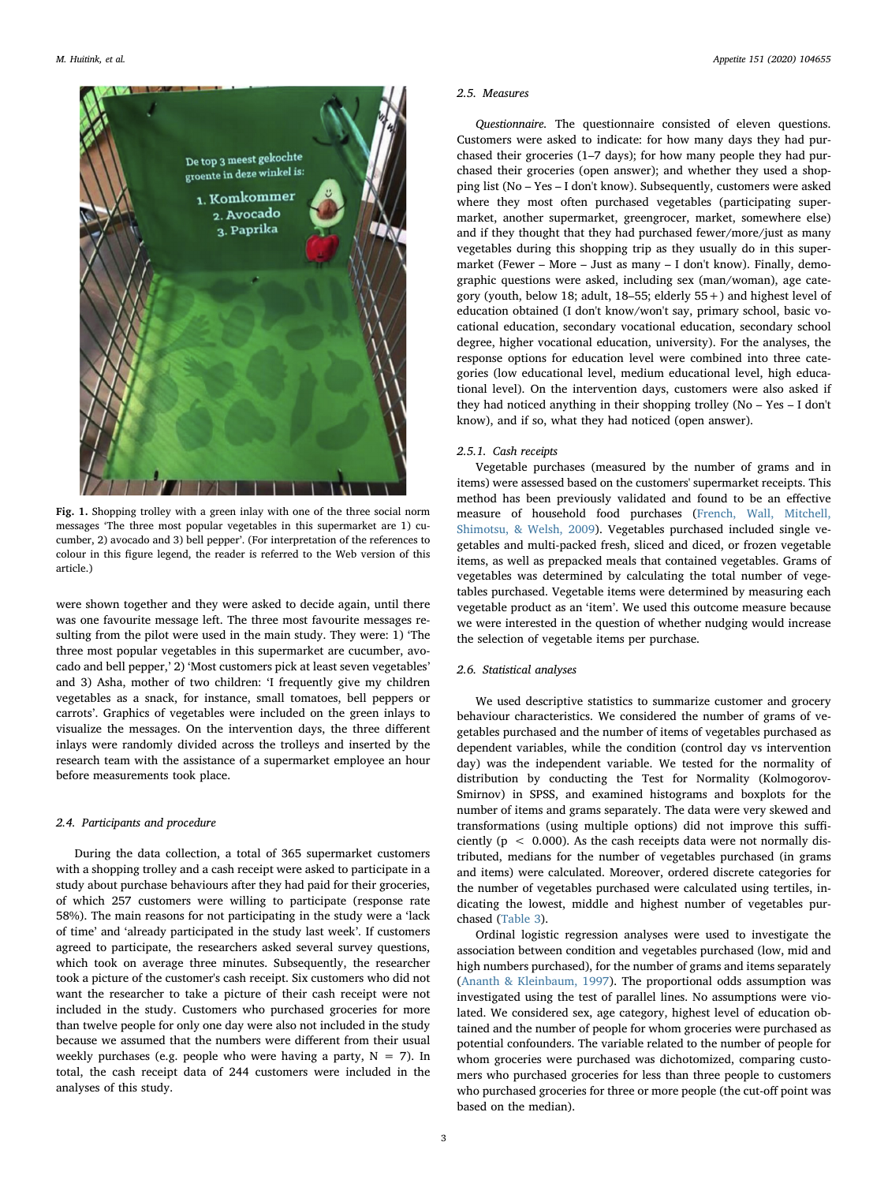<span id="page-2-0"></span>

Fig. 1. Shopping trolley with a green inlay with one of the three social norm messages 'The three most popular vegetables in this supermarket are 1) cucumber, 2) avocado and 3) bell pepper'. (For interpretation of the references to colour in this figure legend, the reader is referred to the Web version of this article.)

were shown together and they were asked to decide again, until there was one favourite message left. The three most favourite messages resulting from the pilot were used in the main study. They were: 1) 'The three most popular vegetables in this supermarket are cucumber, avocado and bell pepper,' 2) 'Most customers pick at least seven vegetables' and 3) Asha, mother of two children: 'I frequently give my children vegetables as a snack, for instance, small tomatoes, bell peppers or carrots'. Graphics of vegetables were included on the green inlays to visualize the messages. On the intervention days, the three different inlays were randomly divided across the trolleys and inserted by the research team with the assistance of a supermarket employee an hour before measurements took place.

#### 2.4. Participants and procedure

During the data collection, a total of 365 supermarket customers with a shopping trolley and a cash receipt were asked to participate in a study about purchase behaviours after they had paid for their groceries, of which 257 customers were willing to participate (response rate 58%). The main reasons for not participating in the study were a 'lack of time' and 'already participated in the study last week'. If customers agreed to participate, the researchers asked several survey questions, which took on average three minutes. Subsequently, the researcher took a picture of the customer's cash receipt. Six customers who did not want the researcher to take a picture of their cash receipt were not included in the study. Customers who purchased groceries for more than twelve people for only one day were also not included in the study because we assumed that the numbers were different from their usual weekly purchases (e.g. people who were having a party,  $N = 7$ ). In total, the cash receipt data of 244 customers were included in the analyses of this study.

#### 2.5. Measures

Questionnaire. The questionnaire consisted of eleven questions. Customers were asked to indicate: for how many days they had purchased their groceries (1–7 days); for how many people they had purchased their groceries (open answer); and whether they used a shopping list (No – Yes – I don't know). Subsequently, customers were asked where they most often purchased vegetables (participating supermarket, another supermarket, greengrocer, market, somewhere else) and if they thought that they had purchased fewer/more/just as many vegetables during this shopping trip as they usually do in this supermarket (Fewer – More – Just as many – I don't know). Finally, demographic questions were asked, including sex (man/woman), age category (youth, below 18; adult, 18–55; elderly 55+) and highest level of education obtained (I don't know/won't say, primary school, basic vocational education, secondary vocational education, secondary school degree, higher vocational education, university). For the analyses, the response options for education level were combined into three categories (low educational level, medium educational level, high educational level). On the intervention days, customers were also asked if they had noticed anything in their shopping trolley (No – Yes – I don't know), and if so, what they had noticed (open answer).

#### 2.5.1. Cash receipts

Vegetable purchases (measured by the number of grams and in items) were assessed based on the customers' supermarket receipts. This method has been previously validated and found to be an effective measure of household food purchases ([French, Wall, Mitchell,](#page-6-24) [Shimotsu, & Welsh, 2009](#page-6-24)). Vegetables purchased included single vegetables and multi-packed fresh, sliced and diced, or frozen vegetable items, as well as prepacked meals that contained vegetables. Grams of vegetables was determined by calculating the total number of vegetables purchased. Vegetable items were determined by measuring each vegetable product as an 'item'. We used this outcome measure because we were interested in the question of whether nudging would increase the selection of vegetable items per purchase.

# 2.6. Statistical analyses

We used descriptive statistics to summarize customer and grocery behaviour characteristics. We considered the number of grams of vegetables purchased and the number of items of vegetables purchased as dependent variables, while the condition (control day vs intervention day) was the independent variable. We tested for the normality of distribution by conducting the Test for Normality (Kolmogorov-Smirnov) in SPSS, and examined histograms and boxplots for the number of items and grams separately. The data were very skewed and transformations (using multiple options) did not improve this sufficiently ( $p < 0.000$ ). As the cash receipts data were not normally distributed, medians for the number of vegetables purchased (in grams and items) were calculated. Moreover, ordered discrete categories for the number of vegetables purchased were calculated using tertiles, indicating the lowest, middle and highest number of vegetables purchased [\(Table 3\)](#page-3-0).

Ordinal logistic regression analyses were used to investigate the association between condition and vegetables purchased (low, mid and high numbers purchased), for the number of grams and items separately ([Ananth & Kleinbaum, 1997\)](#page-6-25). The proportional odds assumption was investigated using the test of parallel lines. No assumptions were violated. We considered sex, age category, highest level of education obtained and the number of people for whom groceries were purchased as potential confounders. The variable related to the number of people for whom groceries were purchased was dichotomized, comparing customers who purchased groceries for less than three people to customers who purchased groceries for three or more people (the cut-off point was based on the median).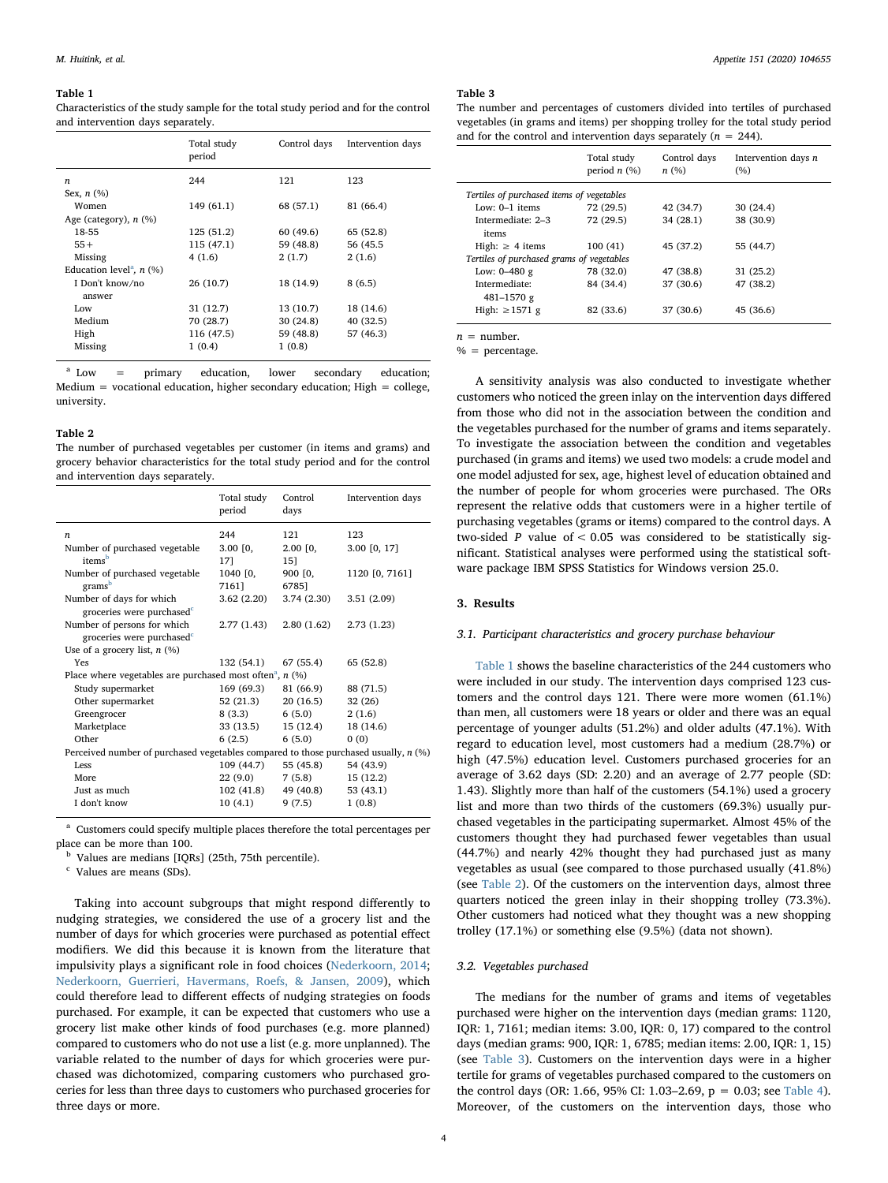#### <span id="page-3-1"></span>Table 1

Characteristics of the study sample for the total study period and for the control and intervention days separately.

|                                        | Total study<br>period | Control days |           |
|----------------------------------------|-----------------------|--------------|-----------|
| $\boldsymbol{n}$                       | 244                   | 121          | 123       |
| Sex, $n$ $(\%)$                        |                       |              |           |
| Women                                  | 149 (61.1)            | 68 (57.1)    | 81 (66.4) |
| Age (category), $n$ (%)                |                       |              |           |
| 18-55                                  | 125 (51.2)            | 60 (49.6)    | 65 (52.8) |
| $55+$                                  | 115 (47.1)            | 59 (48.8)    | 56 (45.5) |
| Missing                                | 4(1.6)                | 2(1.7)       | 2(1.6)    |
| Education level <sup>a</sup> , $n$ (%) |                       |              |           |
| I Don't know/no<br>answer              | 26 (10.7)             | 18 (14.9)    | 8(6.5)    |
| Low                                    | 31 (12.7)             | 13 (10.7)    | 18 (14.6) |
| Medium                                 | 70 (28.7)             | 30(24.8)     | 40 (32.5) |
| High                                   | 116 (47.5)            | 59 (48.8)    | 57 (46.3) |
| Missing                                | 1(0.4)                | 1(0.8)       |           |

<span id="page-3-3"></span><sup>a</sup> Low = primary education, lower secondary education; Medium = vocational education, higher secondary education; High = college, university.

#### <span id="page-3-2"></span>Table 2

The number of purchased vegetables per customer (in items and grams) and grocery behavior characteristics for the total study period and for the control and intervention days separately.

|                                                                                       | Total study<br>period | Control<br>days | Intervention days |  |  |
|---------------------------------------------------------------------------------------|-----------------------|-----------------|-------------------|--|--|
| $\boldsymbol{n}$                                                                      | 244                   | 121             | 123               |  |  |
| Number of purchased vegetable                                                         | $3.00\ [0,$           | $2.00\,$ [0,    | $3.00$ [0, 17]    |  |  |
| items <sup>b</sup>                                                                    | 171                   | 15]             |                   |  |  |
| Number of purchased vegetable                                                         | 1040 [0,              | 900 [0,         | 1120 [0, 7161]    |  |  |
| grams <sup>b</sup>                                                                    | 71611                 | 67851           |                   |  |  |
| Number of days for which                                                              | 3.62(2.20)            | 3.74(2.30)      | 3.51(2.09)        |  |  |
| groceries were purchased <sup>c</sup>                                                 |                       |                 |                   |  |  |
| Number of persons for which                                                           | 2.77 (1.43)           | 2.80(1.62)      | 2.73(1.23)        |  |  |
| groceries were purchased <sup>c</sup>                                                 |                       |                 |                   |  |  |
| Use of a grocery list, $n$ (%)                                                        |                       |                 |                   |  |  |
| Yes                                                                                   | 132 (54.1)            | 67 (55.4)       | 65 (52.8)         |  |  |
| Place where vegetables are purchased most often <sup>a</sup> , $n$ (%)                |                       |                 |                   |  |  |
| Study supermarket                                                                     | 169 (69.3)            | 81 (66.9)       | 88 (71.5)         |  |  |
| Other supermarket                                                                     | 52 (21.3)             | 20(16.5)        | 32 (26)           |  |  |
| Greengrocer                                                                           | 8 (3.3)               | 6(5.0)          | 2(1.6)            |  |  |
| Marketplace                                                                           | 33 (13.5)             | 15(12.4)        | 18 (14.6)         |  |  |
| Other                                                                                 | 6(2.5)                | 6(5.0)          | 0(0)              |  |  |
| Perceived number of purchased vegetables compared to those purchased usually, $n$ (%) |                       |                 |                   |  |  |
| Less                                                                                  | 109 (44.7)            | 55 (45.8)       | 54 (43.9)         |  |  |
| <b>More</b>                                                                           | 22(9.0)               | 7(5.8)          | 15 (12.2)         |  |  |
| Just as much                                                                          | 102(41.8)             | 49 (40.8)       | 53(43.1)          |  |  |
| I don't know                                                                          | 10(4.1)               | 9(7.5)          | 1(0.8)            |  |  |
|                                                                                       |                       |                 |                   |  |  |

<span id="page-3-6"></span><sup>a</sup> Customers could specify multiple places therefore the total percentages per place can be more than 100.

<span id="page-3-4"></span><sup>b</sup> Values are medians [IQRs] (25th, 75th percentile).

<span id="page-3-5"></span><sup>c</sup> Values are means (SDs).

Taking into account subgroups that might respond differently to nudging strategies, we considered the use of a grocery list and the number of days for which groceries were purchased as potential effect modifiers. We did this because it is known from the literature that impulsivity plays a significant role in food choices ([Nederkoorn, 2014](#page-6-26); [Nederkoorn, Guerrieri, Havermans, Roefs, & Jansen, 2009](#page-6-27)), which could therefore lead to different effects of nudging strategies on foods purchased. For example, it can be expected that customers who use a grocery list make other kinds of food purchases (e.g. more planned) compared to customers who do not use a list (e.g. more unplanned). The variable related to the number of days for which groceries were purchased was dichotomized, comparing customers who purchased groceries for less than three days to customers who purchased groceries for three days or more.

#### <span id="page-3-0"></span>Table 3

The number and percentages of customers divided into tertiles of purchased vegetables (in grams and items) per shopping trolley for the total study period and for the control and intervention days separately ( $n = 244$ ).

|                                           | Total study<br>period $n$ (%) | Control days<br>n(%) | Intervention days $n$<br>(%) |  |  |  |
|-------------------------------------------|-------------------------------|----------------------|------------------------------|--|--|--|
| Tertiles of purchased items of vegetables |                               |                      |                              |  |  |  |
| Low: $0-1$ items                          | 72 (29.5)                     | 42 (34.7)            | 30(24.4)                     |  |  |  |
| Intermediate: 2-3                         | 72 (29.5)                     | 34 (28.1)            | 38 (30.9)                    |  |  |  |
| items                                     |                               |                      |                              |  |  |  |
| High: $\geq 4$ items                      | 100(41)                       | 45 (37.2)            | 55 (44.7)                    |  |  |  |
| Tertiles of purchased grams of vegetables |                               |                      |                              |  |  |  |
| Low: $0 - 480$ g                          | 78 (32.0)                     | 47 (38.8)            | 31(25.2)                     |  |  |  |
| Intermediate:                             | 84 (34.4)                     | 37 (30.6)            | 47 (38.2)                    |  |  |  |
| $481 - 1570$ g                            |                               |                      |                              |  |  |  |
| High: $\geq$ 1571 g                       | 82 (33.6)                     | 37 (30.6)            | 45 (36.6)                    |  |  |  |
|                                           |                               |                      |                              |  |  |  |

 $n =$  number.

 $% =$  percentage.

A sensitivity analysis was also conducted to investigate whether customers who noticed the green inlay on the intervention days differed from those who did not in the association between the condition and the vegetables purchased for the number of grams and items separately. To investigate the association between the condition and vegetables purchased (in grams and items) we used two models: a crude model and one model adjusted for sex, age, highest level of education obtained and the number of people for whom groceries were purchased. The ORs represent the relative odds that customers were in a higher tertile of purchasing vegetables (grams or items) compared to the control days. A two-sided  $P$  value of  $< 0.05$  was considered to be statistically significant. Statistical analyses were performed using the statistical software package IBM SPSS Statistics for Windows version 25.0.

# 3. Results

# 3.1. Participant characteristics and grocery purchase behaviour

[Table 1](#page-3-1) shows the baseline characteristics of the 244 customers who were included in our study. The intervention days comprised 123 customers and the control days 121. There were more women (61.1%) than men, all customers were 18 years or older and there was an equal percentage of younger adults (51.2%) and older adults (47.1%). With regard to education level, most customers had a medium (28.7%) or high (47.5%) education level. Customers purchased groceries for an average of 3.62 days (SD: 2.20) and an average of 2.77 people (SD: 1.43). Slightly more than half of the customers (54.1%) used a grocery list and more than two thirds of the customers (69.3%) usually purchased vegetables in the participating supermarket. Almost 45% of the customers thought they had purchased fewer vegetables than usual (44.7%) and nearly 42% thought they had purchased just as many vegetables as usual (see compared to those purchased usually (41.8%) (see [Table 2\)](#page-3-2). Of the customers on the intervention days, almost three quarters noticed the green inlay in their shopping trolley (73.3%). Other customers had noticed what they thought was a new shopping trolley (17.1%) or something else (9.5%) (data not shown).

## 3.2. Vegetables purchased

The medians for the number of grams and items of vegetables purchased were higher on the intervention days (median grams: 1120, IQR: 1, 7161; median items: 3.00, IQR: 0, 17) compared to the control days (median grams: 900, IQR: 1, 6785; median items: 2.00, IQR: 1, 15) (see [Table 3](#page-3-0)). Customers on the intervention days were in a higher tertile for grams of vegetables purchased compared to the customers on the control days (OR: 1.66, 95% CI: 1.03–2.69, p = 0.03; see [Table 4](#page-4-0)). Moreover, of the customers on the intervention days, those who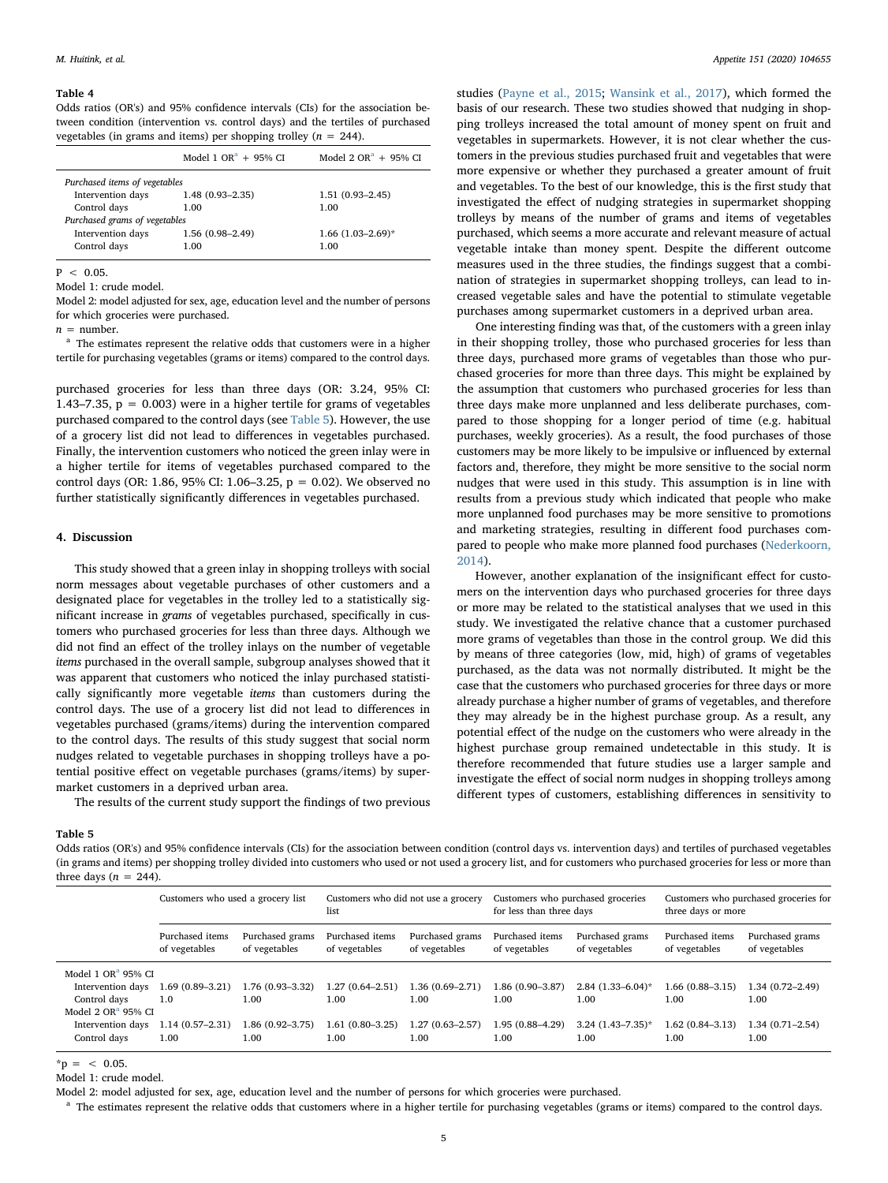#### <span id="page-4-0"></span>Table 4

Odds ratios (OR's) and 95% confidence intervals (CIs) for the association between condition (intervention vs. control days) and the tertiles of purchased vegetables (in grams and items) per shopping trolley ( $n = 244$ ).

|                               | Model 1 $OR^a + 95\%$ CI | Model 2 $OR^a$ + 95% CI  |  |  |  |
|-------------------------------|--------------------------|--------------------------|--|--|--|
| Purchased items of vegetables |                          |                          |  |  |  |
| Intervention days             | $1.48(0.93 - 2.35)$      | $1.51(0.93 - 2.45)$      |  |  |  |
| Control days                  | 1.00                     | 1.00                     |  |  |  |
| Purchased grams of vegetables |                          |                          |  |  |  |
| Intervention days             | $1.56(0.98-2.49)$        | $1.66$ $(1.03 - 2.69)$ * |  |  |  |
| Control days                  | 1.00                     | 1.00                     |  |  |  |
|                               |                          |                          |  |  |  |

 $P < 0.05$ .

Model 1: crude model.

Model 2: model adjusted for sex, age, education level and the number of persons for which groceries were purchased.

 $n =$  number.

<span id="page-4-2"></span> $a$  The estimates represent the relative odds that customers were in a higher tertile for purchasing vegetables (grams or items) compared to the control days.

purchased groceries for less than three days (OR: 3.24, 95% CI: 1.43–7.35,  $p = 0.003$ ) were in a higher tertile for grams of vegetables purchased compared to the control days (see [Table 5](#page-4-1)). However, the use of a grocery list did not lead to differences in vegetables purchased. Finally, the intervention customers who noticed the green inlay were in a higher tertile for items of vegetables purchased compared to the control days (OR: 1.86, 95% CI: 1.06–3.25, p = 0.02). We observed no further statistically significantly differences in vegetables purchased.

### 4. Discussion

This study showed that a green inlay in shopping trolleys with social norm messages about vegetable purchases of other customers and a designated place for vegetables in the trolley led to a statistically significant increase in grams of vegetables purchased, specifically in customers who purchased groceries for less than three days. Although we did not find an effect of the trolley inlays on the number of vegetable items purchased in the overall sample, subgroup analyses showed that it was apparent that customers who noticed the inlay purchased statistically significantly more vegetable items than customers during the control days. The use of a grocery list did not lead to differences in vegetables purchased (grams/items) during the intervention compared to the control days. The results of this study suggest that social norm nudges related to vegetable purchases in shopping trolleys have a potential positive effect on vegetable purchases (grams/items) by supermarket customers in a deprived urban area.

The results of the current study support the findings of two previous

#### M. Huitink, et al. *Appetite 151 (2020) 104655*

studies [\(Payne et al., 2015;](#page-6-17) [Wansink et al., 2017\)](#page-6-18), which formed the basis of our research. These two studies showed that nudging in shopping trolleys increased the total amount of money spent on fruit and vegetables in supermarkets. However, it is not clear whether the customers in the previous studies purchased fruit and vegetables that were more expensive or whether they purchased a greater amount of fruit and vegetables. To the best of our knowledge, this is the first study that investigated the effect of nudging strategies in supermarket shopping trolleys by means of the number of grams and items of vegetables purchased, which seems a more accurate and relevant measure of actual vegetable intake than money spent. Despite the different outcome measures used in the three studies, the findings suggest that a combination of strategies in supermarket shopping trolleys, can lead to increased vegetable sales and have the potential to stimulate vegetable purchases among supermarket customers in a deprived urban area.

One interesting finding was that, of the customers with a green inlay in their shopping trolley, those who purchased groceries for less than three days, purchased more grams of vegetables than those who purchased groceries for more than three days. This might be explained by the assumption that customers who purchased groceries for less than three days make more unplanned and less deliberate purchases, compared to those shopping for a longer period of time (e.g. habitual purchases, weekly groceries). As a result, the food purchases of those customers may be more likely to be impulsive or influenced by external factors and, therefore, they might be more sensitive to the social norm nudges that were used in this study. This assumption is in line with results from a previous study which indicated that people who make more unplanned food purchases may be more sensitive to promotions and marketing strategies, resulting in different food purchases compared to people who make more planned food purchases ([Nederkoorn,](#page-6-26) [2014\)](#page-6-26).

However, another explanation of the insignificant effect for customers on the intervention days who purchased groceries for three days or more may be related to the statistical analyses that we used in this study. We investigated the relative chance that a customer purchased more grams of vegetables than those in the control group. We did this by means of three categories (low, mid, high) of grams of vegetables purchased, as the data was not normally distributed. It might be the case that the customers who purchased groceries for three days or more already purchase a higher number of grams of vegetables, and therefore they may already be in the highest purchase group. As a result, any potential effect of the nudge on the customers who were already in the highest purchase group remained undetectable in this study. It is therefore recommended that future studies use a larger sample and investigate the effect of social norm nudges in shopping trolleys among different types of customers, establishing differences in sensitivity to

#### <span id="page-4-1"></span>Table 5

Odds ratios (OR's) and 95% confidence intervals (CIs) for the association between condition (control days vs. intervention days) and tertiles of purchased vegetables (in grams and items) per shopping trolley divided into customers who used or not used a grocery list, and for customers who purchased groceries for less or more than three days  $(n = 244)$ .

|                                | Customers who used a grocery list |                                  | Customers who did not use a grocery<br>list |                                  | Customers who purchased groceries<br>for less than three days |                                  | Customers who purchased groceries for<br>three days or more |                                  |
|--------------------------------|-----------------------------------|----------------------------------|---------------------------------------------|----------------------------------|---------------------------------------------------------------|----------------------------------|-------------------------------------------------------------|----------------------------------|
|                                | Purchased items<br>of vegetables  | Purchased grams<br>of vegetables | Purchased items<br>of vegetables            | Purchased grams<br>of vegetables | Purchased items<br>of vegetables                              | Purchased grams<br>of vegetables | Purchased items<br>of vegetables                            | Purchased grams<br>of vegetables |
| Model 1 $ORa$ 95% CI           |                                   |                                  |                                             |                                  |                                                               |                                  |                                                             |                                  |
| Intervention days              | $1.69(0.89 - 3.21)$               | 1.76 (0.93-3.32)                 | $1.27(0.64 - 2.51)$                         | $1.36(0.69 - 2.71)$              | $1.86(0.90 - 3.87)$                                           | $2.84(1.33 - 6.04)^{*}$          | $1.66(0.88 - 3.15)$                                         | $1.34(0.72 - 2.49)$              |
| Control days                   | 1.0                               | 1.00                             | 1.00                                        | 1.00                             | 1.00                                                          | 1.00                             | 1.00                                                        | 1.00                             |
| Model 2 OR <sup>a</sup> 95% CI |                                   |                                  |                                             |                                  |                                                               |                                  |                                                             |                                  |
| Intervention days              | $1.14(0.57-2.31)$                 | $1.86(0.92 - 3.75)$              | $1.61(0.80 - 3.25)$                         | $1.27(0.63 - 2.57)$              | $1.95(0.88 - 4.29)$                                           | $3.24(1.43 - 7.35)^*$            | $1.62(0.84 - 3.13)$                                         | $1.34(0.71 - 2.54)$              |
| Control days                   | 1.00                              | 1.00                             | 1.00                                        | 1.00                             | $1.00\,$                                                      | 1.00                             | 1.00                                                        | 1.00                             |

 $*_{\text{D}} = \langle 0.05 \rangle$ 

Model 1: crude model.

Model 2: model adjusted for sex, age, education level and the number of persons for which groceries were purchased.

<span id="page-4-3"></span><sup>a</sup> The estimates represent the relative odds that customers where in a higher tertile for purchasing vegetables (grams or items) compared to the control days.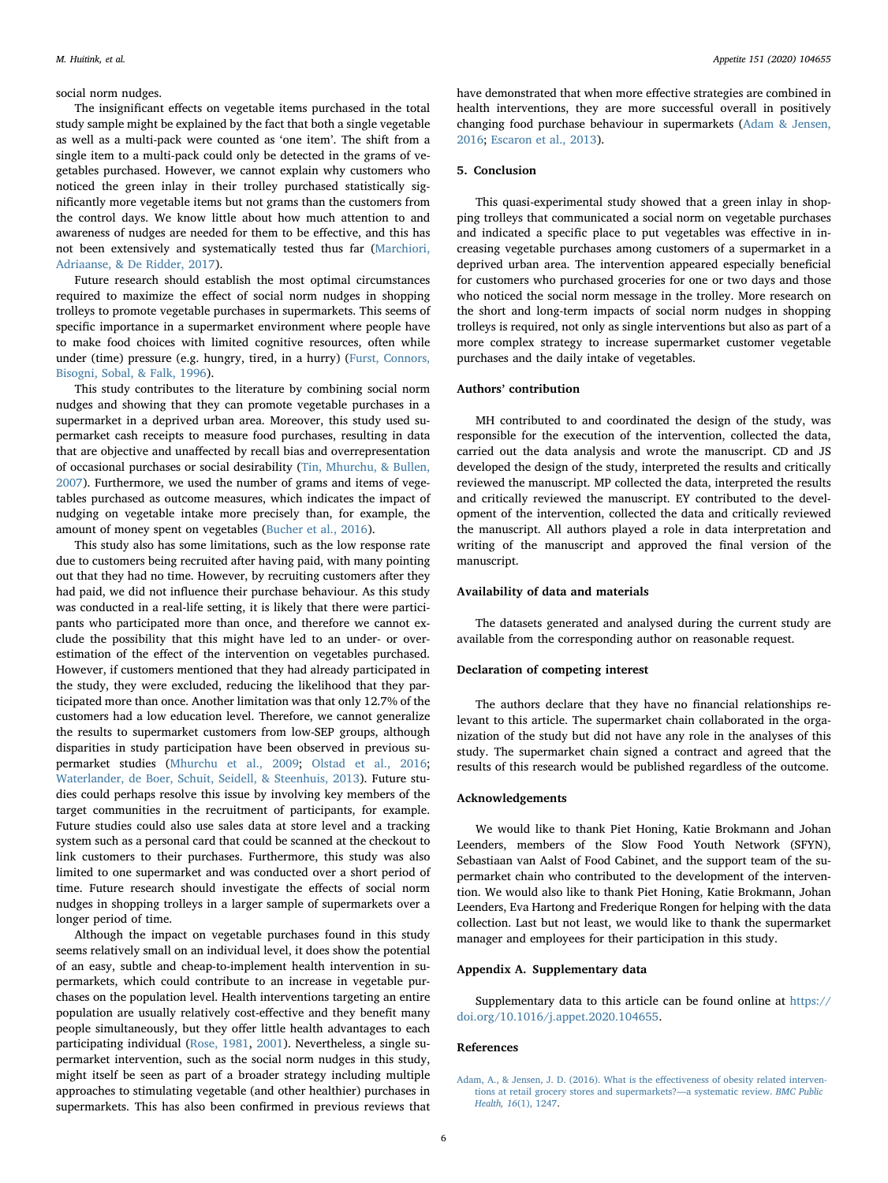#### social norm nudges.

The insignificant effects on vegetable items purchased in the total study sample might be explained by the fact that both a single vegetable as well as a multi-pack were counted as 'one item'. The shift from a single item to a multi-pack could only be detected in the grams of vegetables purchased. However, we cannot explain why customers who noticed the green inlay in their trolley purchased statistically significantly more vegetable items but not grams than the customers from the control days. We know little about how much attention to and awareness of nudges are needed for them to be effective, and this has not been extensively and systematically tested thus far ([Marchiori,](#page-6-28) [Adriaanse, & De Ridder, 2017](#page-6-28)).

Future research should establish the most optimal circumstances required to maximize the effect of social norm nudges in shopping trolleys to promote vegetable purchases in supermarkets. This seems of specific importance in a supermarket environment where people have to make food choices with limited cognitive resources, often while under (time) pressure (e.g. hungry, tired, in a hurry) [\(Furst, Connors,](#page-6-29) [Bisogni, Sobal, & Falk, 1996\)](#page-6-29).

This study contributes to the literature by combining social norm nudges and showing that they can promote vegetable purchases in a supermarket in a deprived urban area. Moreover, this study used supermarket cash receipts to measure food purchases, resulting in data that are objective and unaffected by recall bias and overrepresentation of occasional purchases or social desirability [\(Tin, Mhurchu, & Bullen,](#page-6-30) [2007\)](#page-6-30). Furthermore, we used the number of grams and items of vegetables purchased as outcome measures, which indicates the impact of nudging on vegetable intake more precisely than, for example, the amount of money spent on vegetables ([Bucher et al., 2016\)](#page-6-14).

This study also has some limitations, such as the low response rate due to customers being recruited after having paid, with many pointing out that they had no time. However, by recruiting customers after they had paid, we did not influence their purchase behaviour. As this study was conducted in a real-life setting, it is likely that there were participants who participated more than once, and therefore we cannot exclude the possibility that this might have led to an under- or overestimation of the effect of the intervention on vegetables purchased. However, if customers mentioned that they had already participated in the study, they were excluded, reducing the likelihood that they participated more than once. Another limitation was that only 12.7% of the customers had a low education level. Therefore, we cannot generalize the results to supermarket customers from low-SEP groups, although disparities in study participation have been observed in previous supermarket studies [\(Mhurchu et al., 2009;](#page-6-31) [Olstad et al., 2016](#page-6-32); [Waterlander, de Boer, Schuit, Seidell, & Steenhuis, 2013](#page-6-33)). Future studies could perhaps resolve this issue by involving key members of the target communities in the recruitment of participants, for example. Future studies could also use sales data at store level and a tracking system such as a personal card that could be scanned at the checkout to link customers to their purchases. Furthermore, this study was also limited to one supermarket and was conducted over a short period of time. Future research should investigate the effects of social norm nudges in shopping trolleys in a larger sample of supermarkets over a longer period of time.

Although the impact on vegetable purchases found in this study seems relatively small on an individual level, it does show the potential of an easy, subtle and cheap-to-implement health intervention in supermarkets, which could contribute to an increase in vegetable purchases on the population level. Health interventions targeting an entire population are usually relatively cost-effective and they benefit many people simultaneously, but they offer little health advantages to each participating individual ([Rose, 1981](#page-6-34), [2001](#page-6-35)). Nevertheless, a single supermarket intervention, such as the social norm nudges in this study, might itself be seen as part of a broader strategy including multiple approaches to stimulating vegetable (and other healthier) purchases in supermarkets. This has also been confirmed in previous reviews that have demonstrated that when more effective strategies are combined in health interventions, they are more successful overall in positively changing food purchase behaviour in supermarkets ([Adam & Jensen,](#page-5-0) [2016;](#page-5-0) [Escaron et al., 2013](#page-6-11)).

#### 5. Conclusion

This quasi-experimental study showed that a green inlay in shopping trolleys that communicated a social norm on vegetable purchases and indicated a specific place to put vegetables was effective in increasing vegetable purchases among customers of a supermarket in a deprived urban area. The intervention appeared especially beneficial for customers who purchased groceries for one or two days and those who noticed the social norm message in the trolley. More research on the short and long-term impacts of social norm nudges in shopping trolleys is required, not only as single interventions but also as part of a more complex strategy to increase supermarket customer vegetable purchases and the daily intake of vegetables.

#### Authors' contribution

MH contributed to and coordinated the design of the study, was responsible for the execution of the intervention, collected the data, carried out the data analysis and wrote the manuscript. CD and JS developed the design of the study, interpreted the results and critically reviewed the manuscript. MP collected the data, interpreted the results and critically reviewed the manuscript. EY contributed to the development of the intervention, collected the data and critically reviewed the manuscript. All authors played a role in data interpretation and writing of the manuscript and approved the final version of the manuscript.

# Availability of data and materials

The datasets generated and analysed during the current study are available from the corresponding author on reasonable request.

### Declaration of competing interest

The authors declare that they have no financial relationships relevant to this article. The supermarket chain collaborated in the organization of the study but did not have any role in the analyses of this study. The supermarket chain signed a contract and agreed that the results of this research would be published regardless of the outcome.

## Acknowledgements

We would like to thank Piet Honing, Katie Brokmann and Johan Leenders, members of the Slow Food Youth Network (SFYN), Sebastiaan van Aalst of Food Cabinet, and the support team of the supermarket chain who contributed to the development of the intervention. We would also like to thank Piet Honing, Katie Brokmann, Johan Leenders, Eva Hartong and Frederique Rongen for helping with the data collection. Last but not least, we would like to thank the supermarket manager and employees for their participation in this study.

# Appendix A. Supplementary data

Supplementary data to this article can be found online at [https://](https://doi.org/10.1016/j.appet.2020.104655) [doi.org/10.1016/j.appet.2020.104655](https://doi.org/10.1016/j.appet.2020.104655).

## References

<span id="page-5-0"></span>[Adam, A., & Jensen, J. D. \(2016\). What is the e](http://refhub.elsevier.com/S0195-6663(18)31509-5/sref1)ffectiveness of obesity related interven[tions at retail grocery stores and supermarkets?](http://refhub.elsevier.com/S0195-6663(18)31509-5/sref1)—a systematic review. BMC Public [Health, 16](http://refhub.elsevier.com/S0195-6663(18)31509-5/sref1)(1), 1247.